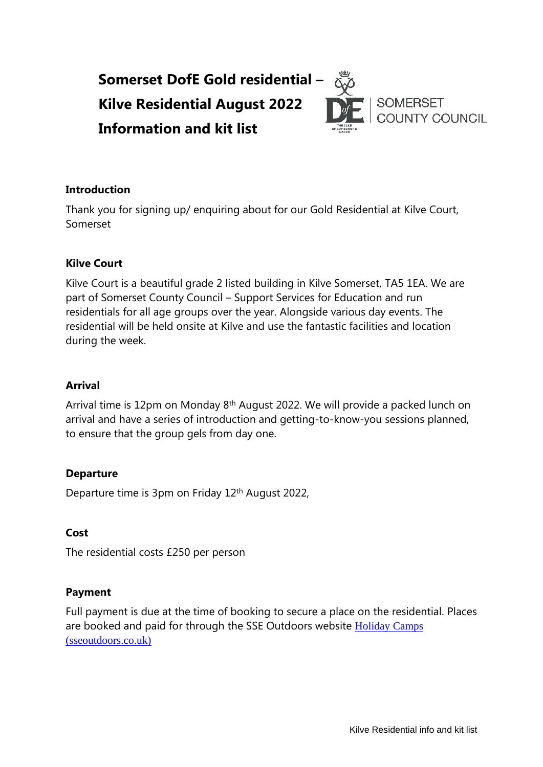

### **Introduction**

Thank you for signing up/ enquiring about for our Gold Residential at Kilve Court, Somerset

#### **Kilve Court**

Kilve Court is a beautiful grade 2 listed building in Kilve Somerset, TA5 1EA. We are part of Somerset County Council – Support Services for Education and run residentials for all age groups over the year. Alongside various day events. The residential will be held onsite at Kilve and use the fantastic facilities and location during the week.

### **Arrival**

Arrival time is 12pm on Monday 8<sup>th</sup> August 2022. We will provide a packed lunch on arrival and have a series of introduction and getting-to-know-you sessions planned, to ensure that the group gels from day one.

## **Departure**

Departure time is 3pm on Friday 12<sup>th</sup> August 2022,

#### **Cost**

The residential costs £250 per person

#### **Payment**

Full payment is due at the time of booking to secure a place on the residential. Places are booked and paid for through the SSE Outdoors website [Holiday Camps](https://sseoutdoors.co.uk/holiday-camps/)  [\(sseoutdoors.co.uk\)](https://sseoutdoors.co.uk/holiday-camps/)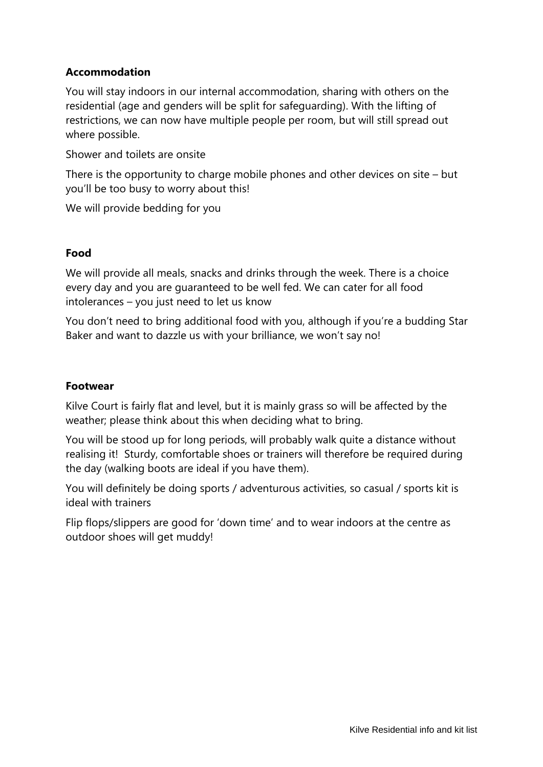# **Accommodation**

You will stay indoors in our internal accommodation, sharing with others on the residential (age and genders will be split for safeguarding). With the lifting of restrictions, we can now have multiple people per room, but will still spread out where possible.

Shower and toilets are onsite

There is the opportunity to charge mobile phones and other devices on site – but you'll be too busy to worry about this!

We will provide bedding for you

### **Food**

We will provide all meals, snacks and drinks through the week. There is a choice every day and you are guaranteed to be well fed. We can cater for all food intolerances – you just need to let us know

You don't need to bring additional food with you, although if you're a budding Star Baker and want to dazzle us with your brilliance, we won't say no!

### **Footwear**

Kilve Court is fairly flat and level, but it is mainly grass so will be affected by the weather; please think about this when deciding what to bring.

You will be stood up for long periods, will probably walk quite a distance without realising it! Sturdy, comfortable shoes or trainers will therefore be required during the day (walking boots are ideal if you have them).

You will definitely be doing sports / adventurous activities, so casual / sports kit is ideal with trainers

Flip flops/slippers are good for 'down time' and to wear indoors at the centre as outdoor shoes will get muddy!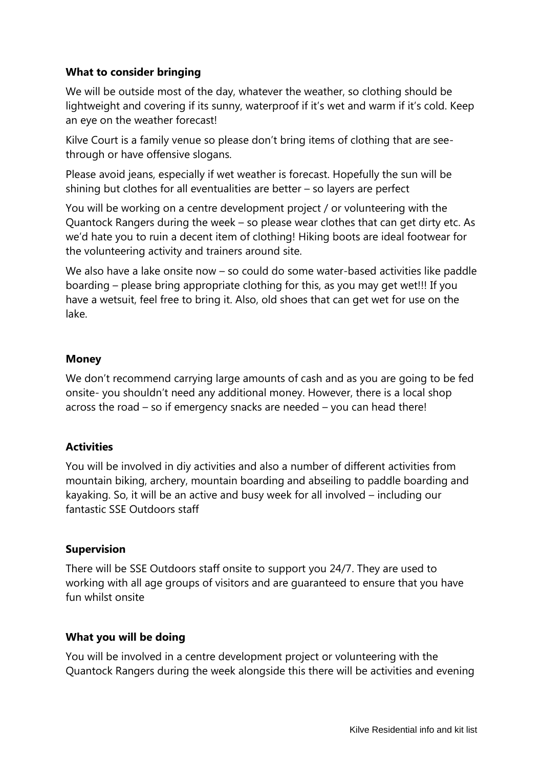# **What to consider bringing**

We will be outside most of the day, whatever the weather, so clothing should be lightweight and covering if its sunny, waterproof if it's wet and warm if it's cold. Keep an eye on the weather forecast!

Kilve Court is a family venue so please don't bring items of clothing that are seethrough or have offensive slogans.

Please avoid jeans, especially if wet weather is forecast. Hopefully the sun will be shining but clothes for all eventualities are better – so layers are perfect

You will be working on a centre development project / or volunteering with the Quantock Rangers during the week – so please wear clothes that can get dirty etc. As we'd hate you to ruin a decent item of clothing! Hiking boots are ideal footwear for the volunteering activity and trainers around site.

We also have a lake onsite now – so could do some water-based activities like paddle boarding – please bring appropriate clothing for this, as you may get wet!!! If you have a wetsuit, feel free to bring it. Also, old shoes that can get wet for use on the lake.

# **Money**

We don't recommend carrying large amounts of cash and as you are going to be fed onsite- you shouldn't need any additional money. However, there is a local shop across the road – so if emergency snacks are needed – you can head there!

# **Activities**

You will be involved in diy activities and also a number of different activities from mountain biking, archery, mountain boarding and abseiling to paddle boarding and kayaking. So, it will be an active and busy week for all involved – including our fantastic SSE Outdoors staff

## **Supervision**

There will be SSE Outdoors staff onsite to support you 24/7. They are used to working with all age groups of visitors and are guaranteed to ensure that you have fun whilst onsite

## **What you will be doing**

You will be involved in a centre development project or volunteering with the Quantock Rangers during the week alongside this there will be activities and evening